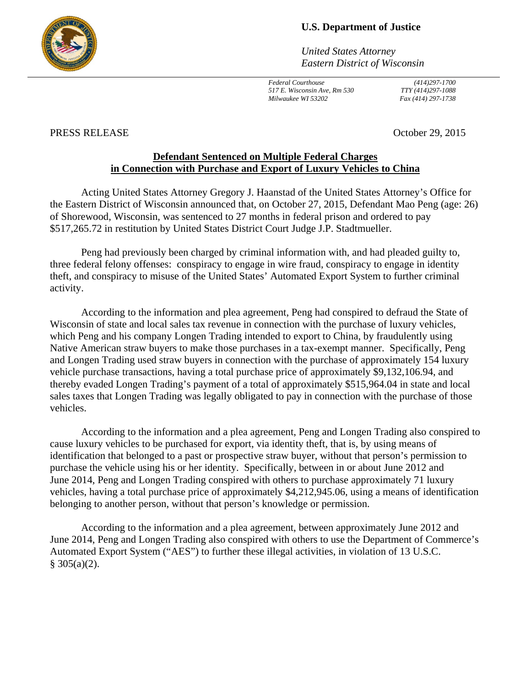

## **U.S. Department of Justice**

*United States Attorney Eastern District of Wisconsin* 

*Federal Courthouse (414)297-1700 517 E. Wisconsin Ave, Rm 530 TTY (414)297-1088 Milwaukee WI 53202 Fax (414) 297-1738* 

## PRESS RELEASE October 29, 2015

## **Defendant Sentenced on Multiple Federal Charges in Connection with Purchase and Export of Luxury Vehicles to China**

Acting United States Attorney Gregory J. Haanstad of the United States Attorney's Office for the Eastern District of Wisconsin announced that, on October 27, 2015, Defendant Mao Peng (age: 26) of Shorewood, Wisconsin, was sentenced to 27 months in federal prison and ordered to pay \$517,265.72 in restitution by United States District Court Judge J.P. Stadtmueller.

Peng had previously been charged by criminal information with, and had pleaded guilty to, three federal felony offenses: conspiracy to engage in wire fraud, conspiracy to engage in identity theft, and conspiracy to misuse of the United States' Automated Export System to further criminal activity.

According to the information and plea agreement, Peng had conspired to defraud the State of Wisconsin of state and local sales tax revenue in connection with the purchase of luxury vehicles, which Peng and his company Longen Trading intended to export to China, by fraudulently using Native American straw buyers to make those purchases in a tax-exempt manner. Specifically, Peng and Longen Trading used straw buyers in connection with the purchase of approximately 154 luxury vehicle purchase transactions, having a total purchase price of approximately \$9,132,106.94, and thereby evaded Longen Trading's payment of a total of approximately \$515,964.04 in state and local sales taxes that Longen Trading was legally obligated to pay in connection with the purchase of those vehicles.

According to the information and a plea agreement, Peng and Longen Trading also conspired to cause luxury vehicles to be purchased for export, via identity theft, that is, by using means of identification that belonged to a past or prospective straw buyer, without that person's permission to purchase the vehicle using his or her identity. Specifically, between in or about June 2012 and June 2014, Peng and Longen Trading conspired with others to purchase approximately 71 luxury vehicles, having a total purchase price of approximately \$4,212,945.06, using a means of identification belonging to another person, without that person's knowledge or permission.

According to the information and a plea agreement, between approximately June 2012 and June 2014, Peng and Longen Trading also conspired with others to use the Department of Commerce's Automated Export System ("AES") to further these illegal activities, in violation of 13 U.S.C.  $§ 305(a)(2).$